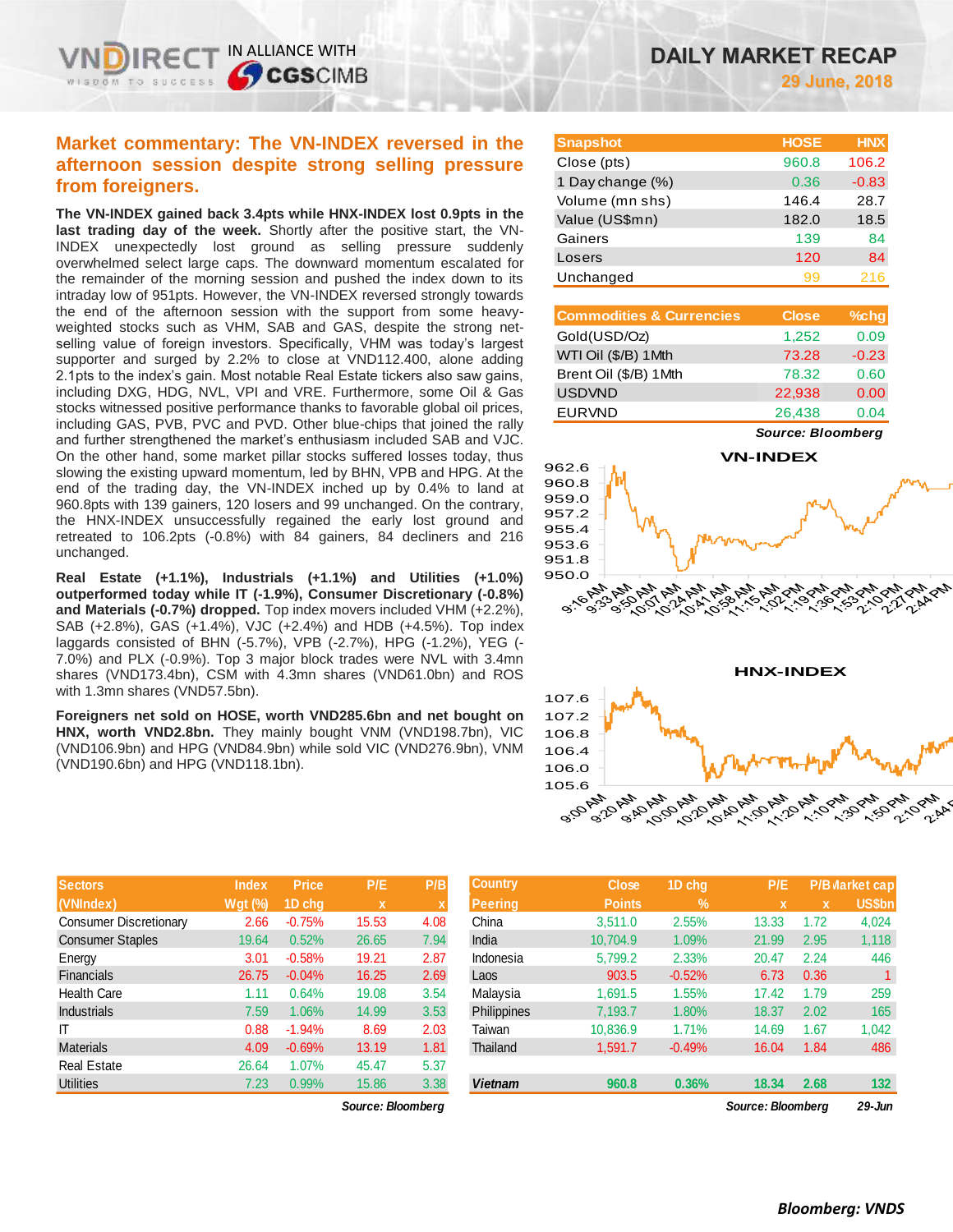# **Market commentary: The VN-INDEX reversed in the afternoon session despite strong selling pressure from foreigners.**

IN ALLIANCE WITH

**SCGSCIMB** 

**The VN-INDEX gained back 3.4pts while HNX-INDEX lost 0.9pts in the last trading day of the week.** Shortly after the positive start, the VN-INDEX unexpectedly lost ground as selling pressure suddenly overwhelmed select large caps. The downward momentum escalated for the remainder of the morning session and pushed the index down to its intraday low of 951pts. However, the VN-INDEX reversed strongly towards the end of the afternoon session with the support from some heavyweighted stocks such as VHM, SAB and GAS, despite the strong netselling value of foreign investors. Specifically, VHM was today's largest supporter and surged by 2.2% to close at VND112.400, alone adding 2.1pts to the index's gain. Most notable Real Estate tickers also saw gains, including DXG, HDG, NVL, VPI and VRE. Furthermore, some Oil & Gas stocks witnessed positive performance thanks to favorable global oil prices, including GAS, PVB, PVC and PVD. Other blue-chips that joined the rally and further strengthened the market's enthusiasm included SAB and VJC. On the other hand, some market pillar stocks suffered losses today, thus slowing the existing upward momentum, led by BHN, VPB and HPG. At the end of the trading day, the VN-INDEX inched up by 0.4% to land at 960.8pts with 139 gainers, 120 losers and 99 unchanged. On the contrary, the HNX-INDEX unsuccessfully regained the early lost ground and retreated to 106.2pts (-0.8%) with 84 gainers, 84 decliners and 216 unchanged.

**Real Estate (+1.1%), Industrials (+1.1%) and Utilities (+1.0%) outperformed today while IT (-1.9%), Consumer Discretionary (-0.8%) and Materials (-0.7%) dropped.** Top index movers included VHM (+2.2%), SAB (+2.8%), GAS (+1.4%), VJC (+2.4%) and HDB (+4.5%). Top index laggards consisted of BHN (-5.7%), VPB (-2.7%), HPG (-1.2%), YEG (- 7.0%) and PLX (-0.9%). Top 3 major block trades were NVL with 3.4mn shares (VND173.4bn), CSM with 4.3mn shares (VND61.0bn) and ROS with 1.3mn shares (VND57.5bn).

**Foreigners net sold on HOSE, worth VND285.6bn and net bought on HNX, worth VND2.8bn.** They mainly bought VNM (VND198.7bn), VIC (VND106.9bn) and HPG (VND84.9bn) while sold VIC (VND276.9bn), VNM (VND190.6bn) and HPG (VND118.1bn).

| <b>Sectors</b>                | <b>Index</b> | <b>Price</b> | P/E   | P/B  |
|-------------------------------|--------------|--------------|-------|------|
| (VNIndex)                     | $Wgt$ (%)    | 1D chq       | x     | x    |
| <b>Consumer Discretionary</b> | 2.66         | $-0.75%$     | 15.53 | 4.08 |
| <b>Consumer Staples</b>       | 19.64        | 0.52%        | 26.65 | 7.94 |
| Energy                        | 3.01         | $-0.58%$     | 19.21 | 2.87 |
| <b>Financials</b>             | 26.75        | $-0.04%$     | 16.25 | 2.69 |
| <b>Health Care</b>            | 1.11         | 0.64%        | 19.08 | 3.54 |
| <b>Industrials</b>            | 7.59         | 1.06%        | 14.99 | 3.53 |
| IΤ                            | 0.88         | $-1.94%$     | 8.69  | 2.03 |
| <b>Materials</b>              | 4.09         | $-0.69%$     | 13.19 | 1.81 |
| <b>Real Estate</b>            | 26.64        | 1.07%        | 45.47 | 5.37 |
| <b>Utilities</b>              | 7.23         | 0.99%        | 15.86 | 3.38 |

*Source: Bloomberg Source: Bloomberg 29-Jun*

| <b>Snapshot</b>  | <b>HOSE</b> | <b>HNX</b> |
|------------------|-------------|------------|
| Close (pts)      | 960.8       | 106.2      |
| 1 Day change (%) | 0.36        | $-0.83$    |
| Volume (mn shs)  | 146.4       | 28.7       |
| Value (US\$mn)   | 182.0       | 18.5       |
| Gainers          | 139         | 84         |
| Losers           | 120         | 84         |
| Unchanged        | 99          | 216        |
|                  |             |            |

| <b>Commodities &amp; Currencies</b> | <b>Close</b> | $%$ chg |
|-------------------------------------|--------------|---------|
| Gold(USD/Oz)                        | 1,252        | 0.09    |
| WTI Oil (\$/B) 1Mth                 | 73.28        | $-0.23$ |
| Brent Oil (\$/B) 1Mth               | 78.32        | 0.60    |
| <b>USDVND</b>                       | 22,938       | 0.00    |
| <b>EURVND</b>                       | 26,438       | 0.04    |

*Source: Bloomberg*



|                         |              |              |                   |      |                | 105.6         |               |                                                      |              |                       |
|-------------------------|--------------|--------------|-------------------|------|----------------|---------------|---------------|------------------------------------------------------|--------------|-----------------------|
|                         |              |              |                   |      |                | 9:00 AM       |               | 9:50 9:10 10:00 10:10 10:10 1:10 1:10 1:30 1:20 1:10 |              |                       |
| <b>Sectors</b>          | <b>Index</b> | <b>Price</b> | P/E               | P/B  | <b>Country</b> | <b>Close</b>  | 1D chg        | P/E                                                  |              | <b>P/B larket cap</b> |
| (VNIndex)               | $Wgt($ %)    | 1D chg       | x                 |      | <b>Peering</b> | <b>Points</b> | $\frac{9}{6}$ |                                                      | $\mathbf{x}$ | <b>US\$bn</b>         |
| Consumer Discretionary  | 2.66         | $-0.75%$     | 15.53             | 4.08 | China          | 3,511.0       | 2.55%         | 13.33                                                | 1.72         | 4,024                 |
| <b>Consumer Staples</b> | 19.64        | 0.52%        | 26.65             | 7.94 | India          | 10,704.9      | 1.09%         | 21.99                                                | 2.95         | 1,118                 |
| Energy                  | 3.01         | $-0.58%$     | 19.21             | 2.87 | Indonesia      | 5,799.2       | 2.33%         | 20.47                                                | 2.24         | 446                   |
| Financials              | 26.75        | $-0.04%$     | 16.25             | 2.69 | Laos           | 903.5         | $-0.52%$      | 6.73                                                 | 0.36         | $\mathbf{1}$          |
| Health Care             | 1.11         | 0.64%        | 19.08             | 3.54 | Malaysia       | 1,691.5       | 1.55%         | 17.42                                                | 1.79         | 259                   |
| Industrials             | 7.59         | 1.06%        | 14.99             | 3.53 | Philippines    | 7,193.7       | 1.80%         | 18.37                                                | 2.02         | 165                   |
|                         | 0.88         | $-1.94%$     | 8.69              | 2.03 | Taiwan         | 10,836.9      | 1.71%         | 14.69                                                | 1.67         | 1,042                 |
| Materials               | 4.09         | $-0.69%$     | 13.19             | 1.81 | Thailand       | 1,591.7       | $-0.49%$      | 16.04                                                | 1.84         | 486                   |
| Real Estate             | 26.64        | 1.07%        | 45.47             | 5.37 |                |               |               |                                                      |              |                       |
| Utilities               | 7.23         | 0.99%        | 15.86             | 3.38 | <b>Vietnam</b> | 960.8         | 0.36%         | 18.34                                                | 2.68         | 132                   |
|                         |              |              | Source: Bloomberg |      |                |               |               | <b>Source: Bloomberg</b>                             |              | 29-Jun                |

106.0

21.10 PM  $\mathscr{S}_{\mathscr{P}_{\mathscr{P}}}$  $\hat{e}$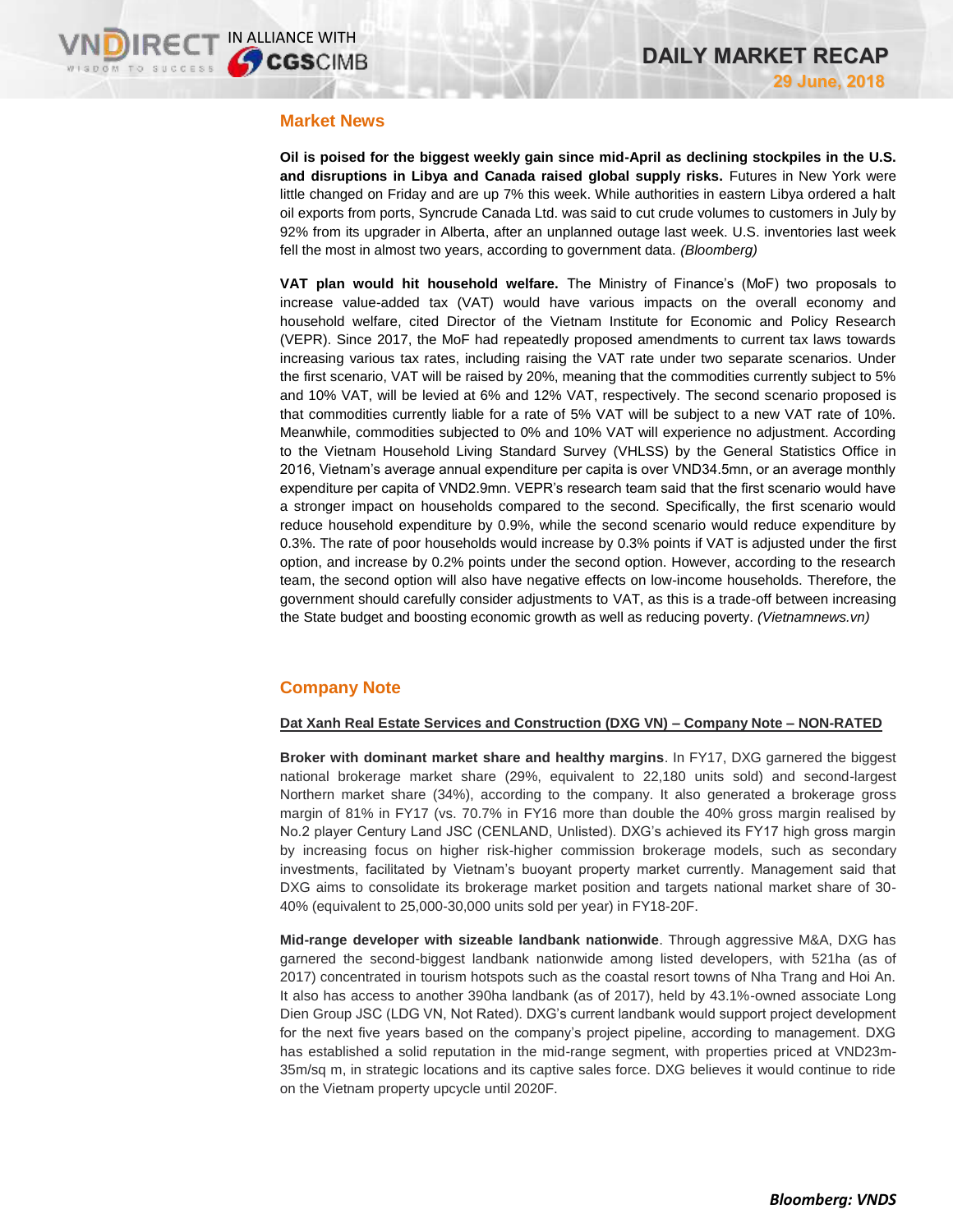## **Market News**

**Oil is poised for the biggest weekly gain since mid-April as declining stockpiles in the U.S. and disruptions in Libya and Canada raised global supply risks.** Futures in New York were little changed on Friday and are up 7% this week. While authorities in eastern Libya ordered a halt oil exports from ports, Syncrude Canada Ltd. was said to cut crude volumes to customers in July by 92% from its upgrader in Alberta, after an unplanned outage last week. U.S. inventories last week fell the most in almost two years, according to government data. *(Bloomberg)*

**VAT plan would hit household welfare.** The Ministry of Finance's (MoF) two proposals to increase value-added tax (VAT) would have various impacts on the overall economy and household welfare, cited Director of the Vietnam Institute for Economic and Policy Research (VEPR). Since 2017, the MoF had repeatedly proposed amendments to current tax laws towards increasing various tax rates, including raising the VAT rate under two separate scenarios. Under the first scenario, VAT will be raised by 20%, meaning that the commodities currently subject to 5% and 10% VAT, will be levied at 6% and 12% VAT, respectively. The second scenario proposed is that commodities currently liable for a rate of 5% VAT will be subject to a new VAT rate of 10%. Meanwhile, commodities subjected to 0% and 10% VAT will experience no adjustment. According to the Vietnam Household Living Standard Survey (VHLSS) by the General Statistics Office in 2016, Vietnam's average annual expenditure per capita is over VND34.5mn, or an average monthly expenditure per capita of VND2.9mn. VEPR's research team said that the first scenario would have a stronger impact on households compared to the second. Specifically, the first scenario would reduce household expenditure by 0.9%, while the second scenario would reduce expenditure by 0.3%. The rate of poor households would increase by 0.3% points if VAT is adjusted under the first option, and increase by 0.2% points under the second option. However, according to the research team, the second option will also have negative effects on low-income households. Therefore, the government should carefully consider adjustments to VAT, as this is a trade-off between increasing the State budget and boosting economic growth as well as reducing poverty. *(Vietnamnews.vn)*

# **Company Note**

#### **Dat Xanh Real Estate Services and Construction (DXG VN) – Company Note – NON-RATED**

**Broker with dominant market share and healthy margins**. In FY17, DXG garnered the biggest national brokerage market share (29%, equivalent to 22,180 units sold) and second-largest Northern market share (34%), according to the company. It also generated a brokerage gross margin of 81% in FY17 (vs. 70.7% in FY16 more than double the 40% gross margin realised by No.2 player Century Land JSC (CENLAND, Unlisted). DXG's achieved its FY17 high gross margin by increasing focus on higher risk-higher commission brokerage models, such as secondary investments, facilitated by Vietnam's buoyant property market currently. Management said that DXG aims to consolidate its brokerage market position and targets national market share of 30- 40% (equivalent to 25,000-30,000 units sold per year) in FY18-20F.

**Mid-range developer with sizeable landbank nationwide**. Through aggressive M&A, DXG has garnered the second-biggest landbank nationwide among listed developers, with 521ha (as of 2017) concentrated in tourism hotspots such as the coastal resort towns of Nha Trang and Hoi An. It also has access to another 390ha landbank (as of 2017), held by 43.1%-owned associate Long Dien Group JSC (LDG VN, Not Rated). DXG's current landbank would support project development for the next five years based on the company's project pipeline, according to management. DXG has established a solid reputation in the mid-range segment, with properties priced at VND23m-35m/sq m, in strategic locations and its captive sales force. DXG believes it would continue to ride on the Vietnam property upcycle until 2020F.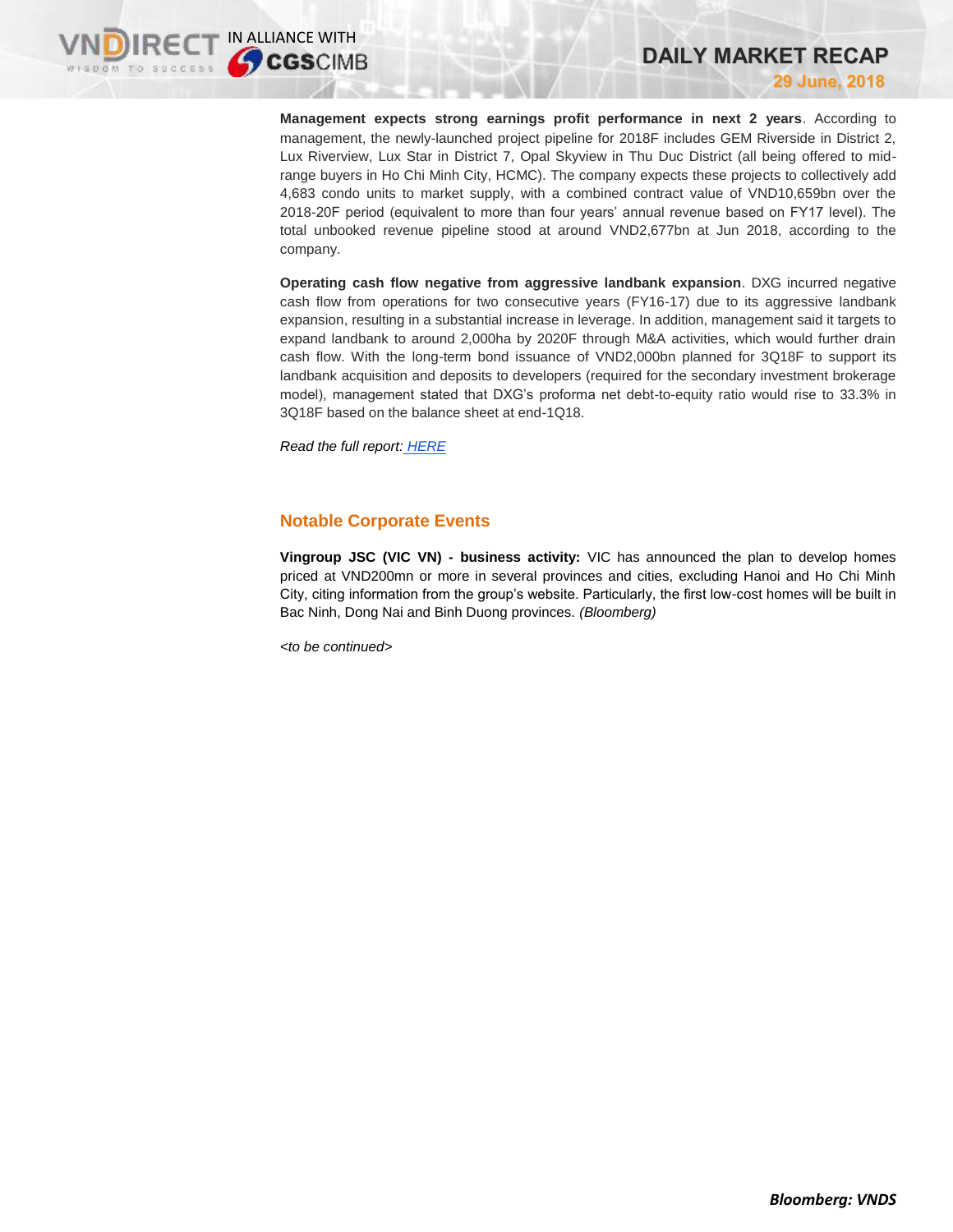**Management expects strong earnings profit performance in next 2 years**. According to management, the newly-launched project pipeline for 2018F includes GEM Riverside in District 2, Lux Riverview, Lux Star in District 7, Opal Skyview in Thu Duc District (all being offered to midrange buyers in Ho Chi Minh City, HCMC). The company expects these projects to collectively add 4,683 condo units to market supply, with a combined contract value of VND10,659bn over the 2018-20F period (equivalent to more than four years' annual revenue based on FY17 level). The total unbooked revenue pipeline stood at around VND2,677bn at Jun 2018, according to the company.

**DAILY MARKET RECAP**

**29 June, 2018**

**Operating cash flow negative from aggressive landbank expansion**. DXG incurred negative cash flow from operations for two consecutive years (FY16-17) due to its aggressive landbank expansion, resulting in a substantial increase in leverage. In addition, management said it targets to expand landbank to around 2,000ha by 2020F through M&A activities, which would further drain cash flow. With the long-term bond issuance of VND2,000bn planned for 3Q18F to support its landbank acquisition and deposits to developers (required for the secondary investment brokerage model), management stated that DXG's proforma net debt-to-equity ratio would rise to 33.3% in 3Q18F based on the balance sheet at end-1Q18.

*Read the full report: [HERE](https://static-02.vndirect.com.vn/uploads/prod/DXG_NRNote_20180629.pdf)*

# **Notable Corporate Events**

**Vingroup JSC (VIC VN) - business activity:** VIC has announced the plan to develop homes priced at VND200mn or more in several provinces and cities, excluding Hanoi and Ho Chi Minh City, citing information from the group's website. Particularly, the first low-cost homes will be built in Bac Ninh, Dong Nai and Binh Duong provinces. *(Bloomberg)*

*<to be continued>*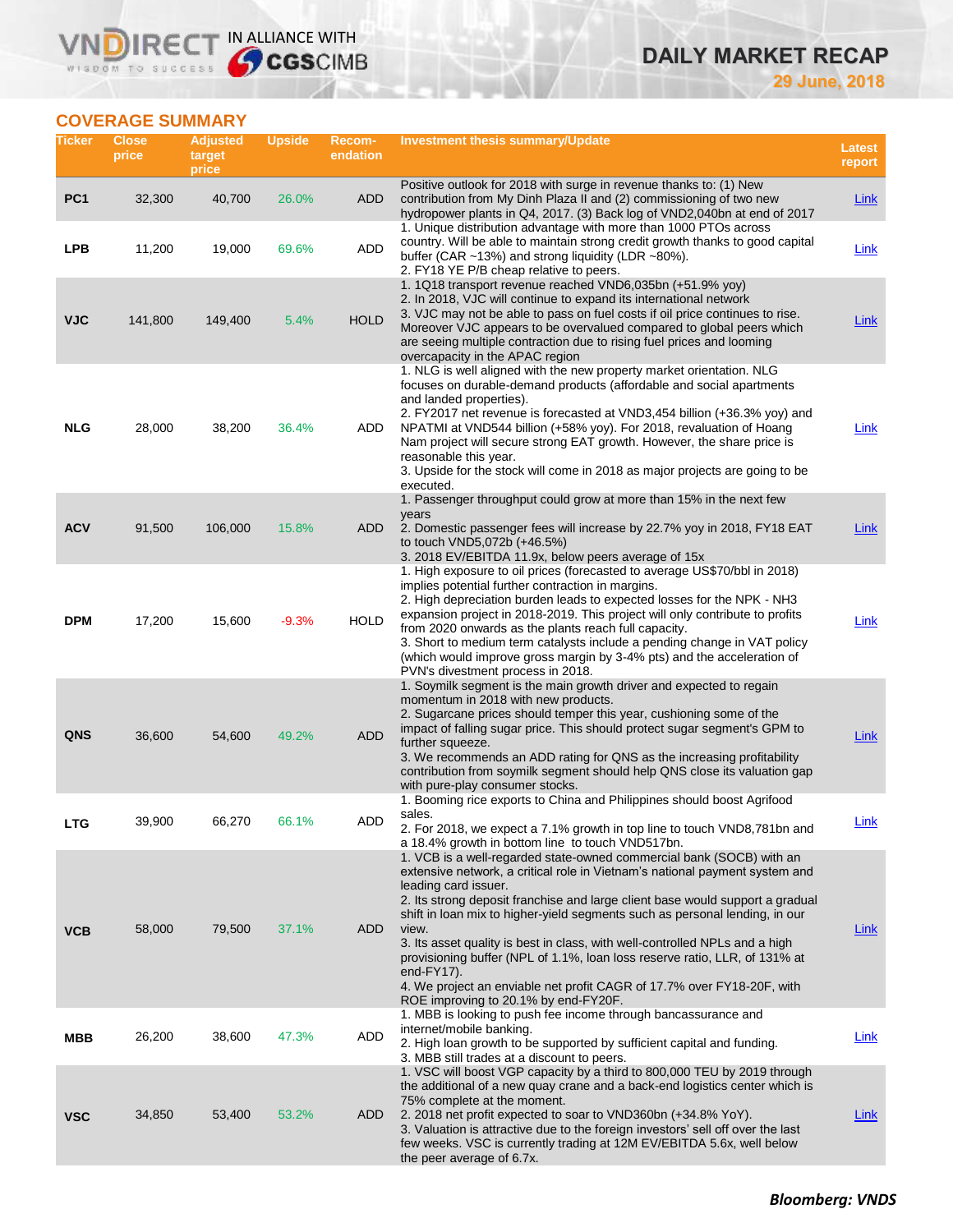# RECT IN ALLIANCE WITH

**29 June, 2018**

**DAILY MARKET RECAP**

# **COVERAGE SUMMARY**

WISDOM TO SUCCESS

VN

| Ticker          | <b>Close</b><br>price | <b>Adjusted</b><br>target<br>price | <b>Upside</b> | <b>Recom-</b><br>endation | Investment thesis summary/Update                                                                                                                                                                                                                                                                                                                                                                                                                                                                                                                                                                                                                  | Latest<br>report |
|-----------------|-----------------------|------------------------------------|---------------|---------------------------|---------------------------------------------------------------------------------------------------------------------------------------------------------------------------------------------------------------------------------------------------------------------------------------------------------------------------------------------------------------------------------------------------------------------------------------------------------------------------------------------------------------------------------------------------------------------------------------------------------------------------------------------------|------------------|
| PC <sub>1</sub> | 32,300                | 40,700                             | 26.0%         | ADD                       | Positive outlook for 2018 with surge in revenue thanks to: (1) New<br>contribution from My Dinh Plaza II and (2) commissioning of two new<br>hydropower plants in Q4, 2017. (3) Back log of VND2,040bn at end of 2017                                                                                                                                                                                                                                                                                                                                                                                                                             | <b>Link</b>      |
| <b>LPB</b>      | 11,200                | 19,000                             | 69.6%         | ADD                       | 1. Unique distribution advantage with more than 1000 PTOs across<br>country. Will be able to maintain strong credit growth thanks to good capital<br>buffer (CAR $\sim$ 13%) and strong liquidity (LDR $\sim$ 80%).<br>2. FY18 YE P/B cheap relative to peers.                                                                                                                                                                                                                                                                                                                                                                                    | Link             |
| <b>VJC</b>      | 141,800               | 149,400                            | 5.4%          | <b>HOLD</b>               | 1. 1Q18 transport revenue reached VND6,035bn (+51.9% yoy)<br>2. In 2018, VJC will continue to expand its international network<br>3. VJC may not be able to pass on fuel costs if oil price continues to rise.<br>Moreover VJC appears to be overvalued compared to global peers which<br>are seeing multiple contraction due to rising fuel prices and looming<br>overcapacity in the APAC region                                                                                                                                                                                                                                                | <b>Link</b>      |
| <b>NLG</b>      | 28,000                | 38,200                             | 36.4%         | ADD                       | 1. NLG is well aligned with the new property market orientation. NLG<br>focuses on durable-demand products (affordable and social apartments<br>and landed properties).<br>2. FY2017 net revenue is forecasted at VND3,454 billion (+36.3% yoy) and<br>NPATMI at VND544 billion (+58% yoy). For 2018, revaluation of Hoang<br>Nam project will secure strong EAT growth. However, the share price is<br>reasonable this year.<br>3. Upside for the stock will come in 2018 as major projects are going to be<br>executed.                                                                                                                         | <u>Link</u>      |
| <b>ACV</b>      | 91,500                | 106,000                            | 15.8%         | <b>ADD</b>                | 1. Passenger throughput could grow at more than 15% in the next few<br>years<br>2. Domestic passenger fees will increase by 22.7% yoy in 2018, FY18 EAT<br>to touch VND5,072b (+46.5%)                                                                                                                                                                                                                                                                                                                                                                                                                                                            | <b>Link</b>      |
| <b>DPM</b>      | 17,200                | 15,600                             | $-9.3%$       | <b>HOLD</b>               | 3. 2018 EV/EBITDA 11.9x, below peers average of 15x<br>1. High exposure to oil prices (forecasted to average US\$70/bbl in 2018)<br>implies potential further contraction in margins.<br>2. High depreciation burden leads to expected losses for the NPK - NH3<br>expansion project in 2018-2019. This project will only contribute to profits<br>from 2020 onwards as the plants reach full capacity.<br>3. Short to medium term catalysts include a pending change in VAT policy<br>(which would improve gross margin by 3-4% pts) and the acceleration of<br>PVN's divestment process in 2018.                                                | Link             |
| <b>QNS</b>      | 36,600                | 54,600                             | 49.2%         | <b>ADD</b>                | 1. Soymilk segment is the main growth driver and expected to regain<br>momentum in 2018 with new products.<br>2. Sugarcane prices should temper this year, cushioning some of the<br>impact of falling sugar price. This should protect sugar segment's GPM to<br>further squeeze.<br>3. We recommends an ADD rating for QNS as the increasing profitability<br>contribution from soymilk segment should help QNS close its valuation gap<br>with pure-play consumer stocks.                                                                                                                                                                      | Link             |
| <b>LTG</b>      | 39,900                | 66,270                             | 66.1%         | ADD                       | 1. Booming rice exports to China and Philippines should boost Agrifood<br>sales.<br>2. For 2018, we expect a 7.1% growth in top line to touch VND8,781bn and<br>a 18.4% growth in bottom line to touch VND517bn.                                                                                                                                                                                                                                                                                                                                                                                                                                  | Link             |
| <b>VCB</b>      | 58,000                | 79,500                             | 37.1%         | <b>ADD</b>                | 1. VCB is a well-regarded state-owned commercial bank (SOCB) with an<br>extensive network, a critical role in Vietnam's national payment system and<br>leading card issuer.<br>2. Its strong deposit franchise and large client base would support a gradual<br>shift in loan mix to higher-yield segments such as personal lending, in our<br>view.<br>3. Its asset quality is best in class, with well-controlled NPLs and a high<br>provisioning buffer (NPL of 1.1%, loan loss reserve ratio, LLR, of 131% at<br>end-FY17).<br>4. We project an enviable net profit CAGR of 17.7% over FY18-20F, with<br>ROE improving to 20.1% by end-FY20F. | <b>Link</b>      |
| MBB             | 26,200                | 38,600                             | 47.3%         | ADD                       | 1. MBB is looking to push fee income through bancassurance and<br>internet/mobile banking.<br>2. High loan growth to be supported by sufficient capital and funding.<br>3. MBB still trades at a discount to peers.                                                                                                                                                                                                                                                                                                                                                                                                                               | Link             |
| <b>VSC</b>      | 34,850                | 53,400                             | 53.2%         | ADD                       | 1. VSC will boost VGP capacity by a third to 800,000 TEU by 2019 through<br>the additional of a new quay crane and a back-end logistics center which is<br>75% complete at the moment.<br>2. 2018 net profit expected to soar to VND360bn (+34.8% YoY).<br>3. Valuation is attractive due to the foreign investors' sell off over the last<br>few weeks. VSC is currently trading at 12M EV/EBITDA 5.6x, well below<br>the peer average of 6.7x.                                                                                                                                                                                                  | Link             |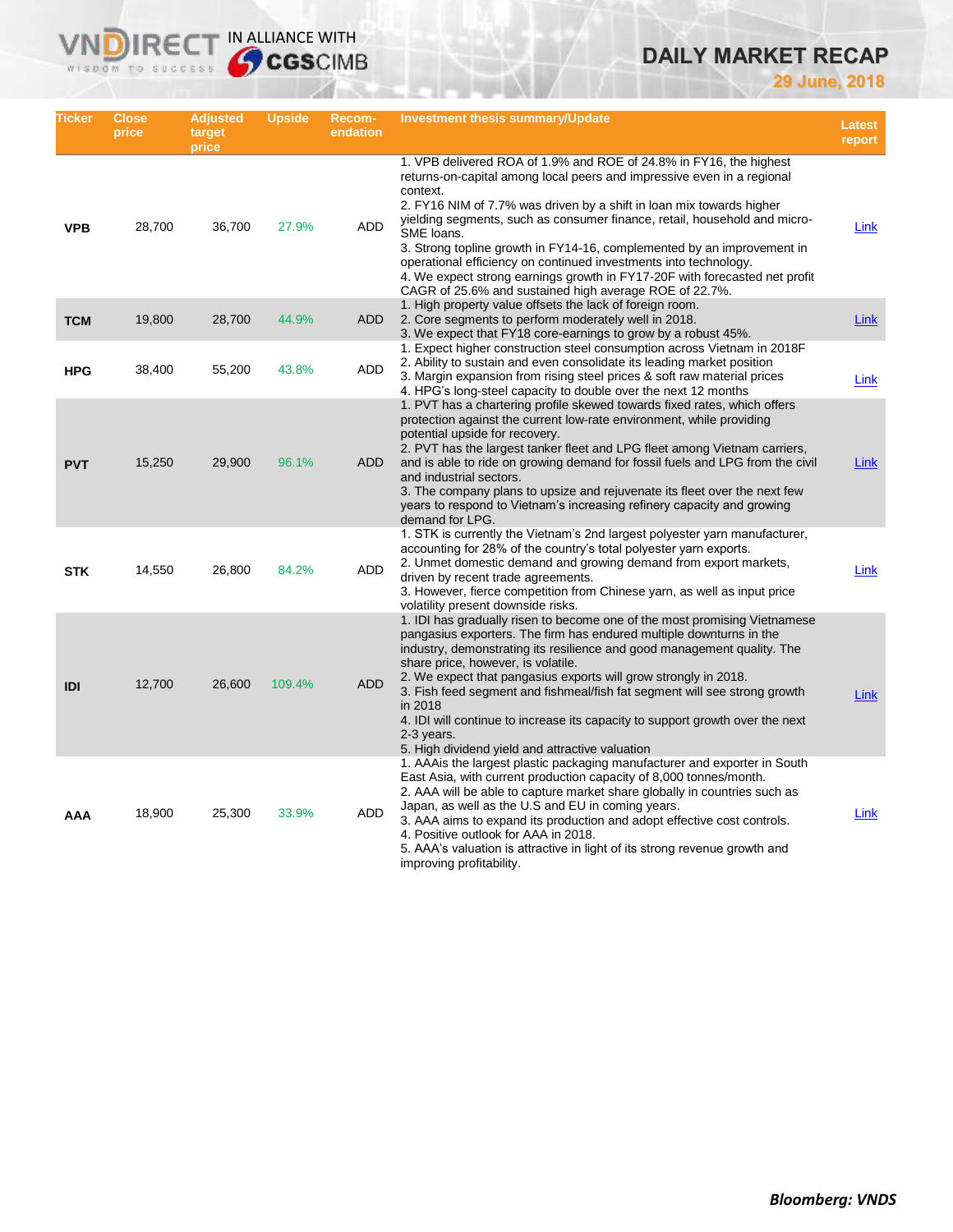# **DAILY MARKET RECAP**

**29 June, 2018**

| Ticker     | <b>Close</b><br>price | <b>Adjusted</b><br>target<br>price | Upside | <b>Recom-</b><br>endation | Investment thesis summary/Update                                                                                                                                                                                                                                                                                                                                                                                                                                                                                                                                                                                  | Latest<br>report |
|------------|-----------------------|------------------------------------|--------|---------------------------|-------------------------------------------------------------------------------------------------------------------------------------------------------------------------------------------------------------------------------------------------------------------------------------------------------------------------------------------------------------------------------------------------------------------------------------------------------------------------------------------------------------------------------------------------------------------------------------------------------------------|------------------|
| <b>VPB</b> | 28,700                | 36,700                             | 27.9%  | <b>ADD</b>                | 1. VPB delivered ROA of 1.9% and ROE of 24.8% in FY16, the highest<br>returns-on-capital among local peers and impressive even in a regional<br>context.<br>2. FY16 NIM of 7.7% was driven by a shift in loan mix towards higher<br>yielding segments, such as consumer finance, retail, household and micro-<br>SME loans.<br>3. Strong topline growth in FY14-16, complemented by an improvement in<br>operational efficiency on continued investments into technology.<br>4. We expect strong earnings growth in FY17-20F with forecasted net profit<br>CAGR of 25.6% and sustained high average ROE of 22.7%. | Link             |
| <b>TCM</b> | 19,800                | 28,700                             | 44.9%  | ADD                       | 1. High property value offsets the lack of foreign room.<br>2. Core segments to perform moderately well in 2018.<br>3. We expect that FY18 core-earnings to grow by a robust 45%.                                                                                                                                                                                                                                                                                                                                                                                                                                 | Link             |
| <b>HPG</b> | 38,400                | 55,200                             | 43.8%  | ADD                       | 1. Expect higher construction steel consumption across Vietnam in 2018 F<br>2. Ability to sustain and even consolidate its leading market position<br>3. Margin expansion from rising steel prices & soft raw material prices<br>4. HPG's long-steel capacity to double over the next 12 months                                                                                                                                                                                                                                                                                                                   | Link             |
| <b>PVT</b> | 15,250                | 29,900                             | 96.1%  | ADD                       | 1. PVT has a chartering profile skewed towards fixed rates, which offers<br>protection against the current low-rate environment, while providing<br>potential upside for recovery.<br>2. PVT has the largest tanker fleet and LPG fleet among Vietnam carriers,<br>and is able to ride on growing demand for fossil fuels and LPG from the civil<br>and industrial sectors.<br>3. The company plans to upsize and rejuvenate its fleet over the next few<br>years to respond to Vietnam's increasing refinery capacity and growing<br>demand for LPG.                                                             | Link             |
| <b>STK</b> | 14,550                | 26,800                             | 84.2%  | ADD                       | 1. STK is currently the Vietnam's 2nd largest polyester yarn manufacturer,<br>accounting for 28% of the country's total polyester yarn exports.<br>2. Unmet domestic demand and growing demand from export markets,<br>driven by recent trade agreements.<br>3. However, fierce competition from Chinese yarn, as well as input price<br>volatility present downside risks.                                                                                                                                                                                                                                       | Link             |
| <b>IDI</b> | 12,700                | 26,600                             | 109.4% | <b>ADD</b>                | 1. IDI has gradually risen to become one of the most promising Vietnamese<br>pangasius exporters. The firm has endured multiple downturns in the<br>industry, demonstrating its resilience and good management quality. The<br>share price, however, is volatile.<br>2. We expect that pangasius exports will grow strongly in 2018.<br>3. Fish feed segment and fishmeal/fish fat segment will see strong growth<br>in 2018<br>4. IDI will continue to increase its capacity to support growth over the next<br>2-3 years.<br>5. High dividend yield and attractive valuation                                    | Link             |
| AAA        | 18,900                | 25,300                             | 33.9%  | ADD                       | 1. AAA is the largest plastic packaging manufacturer and exporter in South<br>East Asia, with current production capacity of 8,000 tonnes/month.<br>2. AAA will be able to capture market share globally in countries such as<br>Japan, as well as the U.S and EU in coming years.<br>3. AAA aims to expand its production and adopt effective cost controls.<br>4. Positive outlook for AAA in 2018.<br>5. AAA's valuation is attractive in light of its strong revenue growth and<br>improving profitability.                                                                                                   | Link             |

**VNDIRECT IN ALLIANCE WITH**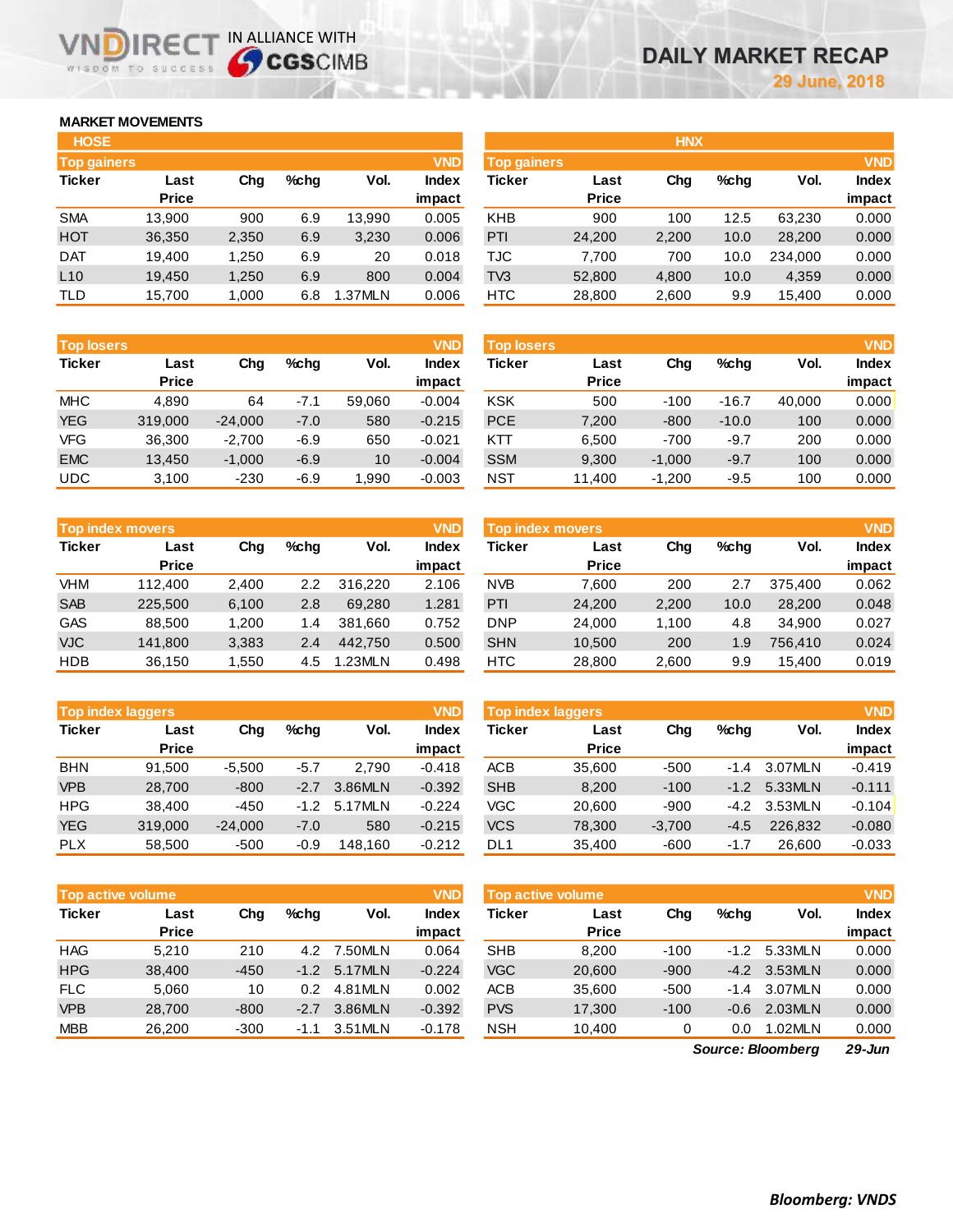# **MARKET MOVEMENTS**

WISDOM TO SUCCESS

IR<sub>E</sub>

| <b>HOSE</b>        |              |       |      |         |              |
|--------------------|--------------|-------|------|---------|--------------|
| <b>Top gainers</b> |              |       |      |         | <b>VND</b>   |
| <b>Ticker</b>      | Last         | Cha   | %chq | Vol.    | <b>Index</b> |
|                    | <b>Price</b> |       |      |         | impact       |
| <b>SMA</b>         | 13,900       | 900   | 6.9  | 13,990  | 0.005        |
| <b>HOT</b>         | 36,350       | 2,350 | 6.9  | 3,230   | 0.006        |
| <b>DAT</b>         | 19.400       | 1,250 | 6.9  | 20      | 0.018        |
| L10                | 19,450       | 1,250 | 6.9  | 800     | 0.004        |
| TLD                | 15,700       | 1,000 | 6.8  | 1.37MLN | 0.006        |

IN ALLIANCE WITH

| <b>HOSE</b>        |              |       |         |         |              |                    |              | <b>HNX</b> |         |         |              |
|--------------------|--------------|-------|---------|---------|--------------|--------------------|--------------|------------|---------|---------|--------------|
| <b>Top gainers</b> |              |       |         |         | <b>VND</b>   | <b>Top gainers</b> |              |            |         |         | <b>VND</b>   |
| Ticker             | Last         | Chg   | $%$ chq | Vol.    | <b>Index</b> | Ticker             | Last         | Chg        | $%$ chq | Vol.    | <b>Index</b> |
|                    | <b>Price</b> |       |         |         | impact       |                    | <b>Price</b> |            |         |         | impact       |
| <b>SMA</b>         | 13,900       | 900   | 6.9     | 13,990  | 0.005        | <b>KHB</b>         | 900          | 100        | 12.5    | 63,230  | 0.000        |
| HOT                | 36,350       | 2,350 | 6.9     | 3,230   | 0.006        | <b>PTI</b>         | 24,200       | 2,200      | 10.0    | 28,200  | 0.000        |
| <b>DAT</b>         | 19.400       | 1,250 | 6.9     | 20      | 0.018        | TJC                | 7,700        | 700        | 10.0    | 234.000 | 0.000        |
| L10                | 19,450       | 1,250 | 6.9     | 800     | 0.004        | TV <sub>3</sub>    | 52,800       | 4,800      | 10.0    | 4,359   | 0.000        |
| TLD                | 15,700       | 1,000 | 6.8     | 1.37MLN | 0.006        | <b>HTC</b>         | 28,800       | 2,600      | 9.9     | 15,400  | 0.000        |
|                    |              |       |         |         |              |                    |              |            |         |         |              |

| <b>Top losers</b> |              |           |        |        | <b>VND</b>   |
|-------------------|--------------|-----------|--------|--------|--------------|
| <b>Ticker</b>     | Last         | Cha       | %chq   | Vol.   | <b>Index</b> |
|                   | <b>Price</b> |           |        |        | impact       |
| <b>MHC</b>        | 4.890        | 64        | $-7.1$ | 59,060 | $-0.004$     |
| <b>YEG</b>        | 319,000      | $-24,000$ | $-7.0$ | 580    | $-0.215$     |
| <b>VFG</b>        | 36,300       | $-2,700$  | $-6.9$ | 650    | $-0.021$     |
| <b>EMC</b>        | 13,450       | $-1,000$  | $-6.9$ | 10     | $-0.004$     |
| UDC               | 3,100        | $-230$    | $-6.9$ | 1,990  | $-0.003$     |

| <b>VND</b><br><b>Top index movers</b> |                                |       |     |         |        |  |  |  |
|---------------------------------------|--------------------------------|-------|-----|---------|--------|--|--|--|
| <b>Ticker</b>                         | $%$ chq<br>Vol.<br>Last<br>Cha |       |     |         |        |  |  |  |
|                                       | Price                          |       |     |         | impact |  |  |  |
| <b>VHM</b>                            | 112,400                        | 2,400 | 2.2 | 316.220 | 2.106  |  |  |  |
| <b>SAB</b>                            | 225,500                        | 6,100 | 2.8 | 69,280  | 1.281  |  |  |  |
| <b>GAS</b>                            | 88,500                         | 1,200 | 1.4 | 381,660 | 0.752  |  |  |  |
| <b>VJC</b>                            | 141,800                        | 3,383 | 2.4 | 442.750 | 0.500  |  |  |  |
| <b>HDB</b>                            | 36,150                         | 1,550 | 4.5 | 1.23MLN | 0.498  |  |  |  |

| <b>VND</b><br><b>Top index laggers</b> |                      |           |         |         |          |  |  |  |
|----------------------------------------|----------------------|-----------|---------|---------|----------|--|--|--|
| <b>Ticker</b>                          | Last<br><b>Price</b> | Cha       | $%$ chq | Vol.    | Index    |  |  |  |
|                                        |                      |           |         |         | impact   |  |  |  |
| <b>BHN</b>                             | 91,500               | $-5,500$  | -5.7    | 2.790   | $-0.418$ |  |  |  |
| <b>VPB</b>                             | 28.700               | $-800$    | $-2.7$  | 3.86MLN | $-0.392$ |  |  |  |
| <b>HPG</b>                             | 38,400               | $-450$    | $-1.2$  | 5.17MLN | $-0.224$ |  |  |  |
| <b>YEG</b>                             | 319,000              | $-24,000$ | $-7.0$  | 580     | $-0.215$ |  |  |  |
| <b>PLX</b>                             | 58,500               | $-500$    | $-0.9$  | 148.160 | $-0.212$ |  |  |  |

| <b>VND</b><br><b>Top active volume</b> |              |        |         |              |          |  |  |  |  |
|----------------------------------------|--------------|--------|---------|--------------|----------|--|--|--|--|
| <b>Ticker</b>                          | Last         | Cha    | $%$ chq | Vol.         | Index    |  |  |  |  |
|                                        | <b>Price</b> |        |         |              | impact   |  |  |  |  |
| <b>HAG</b>                             | 5.210        | 210    |         | 4.2 7.50 MLN | 0.064    |  |  |  |  |
| <b>HPG</b>                             | 38,400       | $-450$ | $-1.2$  | 5.17MLN      | $-0.224$ |  |  |  |  |
| <b>FLC</b>                             | 5,060        | 10     | 0.2     | 4.81MLN      | 0.002    |  |  |  |  |
| <b>VPB</b>                             | 28,700       | $-800$ | $-2.7$  | 3.86MLN      | $-0.392$ |  |  |  |  |
| <b>MBB</b>                             | 26,200       | $-300$ | $-1.1$  | 3.51MLN      | $-0.178$ |  |  |  |  |

| <b>Top losers</b> |                      |           |         |        | <b>VND</b>      | <b>Top losers</b> |                      |          |         |        | <b>VND</b>             |
|-------------------|----------------------|-----------|---------|--------|-----------------|-------------------|----------------------|----------|---------|--------|------------------------|
| Ticker            | Last<br><b>Price</b> | Chg       | $%$ chq | Vol.   | Index<br>impact | Ticker            | Last<br><b>Price</b> | Chg      | %chg    | Vol.   | <b>Index</b><br>impact |
| MHC               | 4.890                | 64        | $-7.1$  | 59.060 | $-0.004$        | <b>KSK</b>        | 500                  | $-100$   | $-16.7$ | 40.000 | 0.000                  |
| <b>YEG</b>        | 319,000              | $-24,000$ | $-7.0$  | 580    | $-0.215$        | <b>PCE</b>        | 7,200                | $-800$   | $-10.0$ | 100    | 0.000                  |
| VFG               | 36,300               | $-2,700$  | $-6.9$  | 650    | $-0.021$        | KTT               | 6,500                | $-700$   | $-9.7$  | 200    | 0.000                  |
| <b>EMC</b>        | 13.450               | $-1.000$  | $-6.9$  | 10     | $-0.004$        | <b>SSM</b>        | 9,300                | $-1.000$ | $-9.7$  | 100    | 0.000                  |
| UDC.              | 3.100                | $-230$    | $-6.9$  | .990   | $-0.003$        | <b>NST</b>        | 11.400               | $-1.200$ | -9.5    | 100    | 0.000                  |

| <b>VND</b><br><b>Top index movers</b> |                      |        |      |         |                 | <b>Top index movers</b> |                      |       |         |         | <b>VND</b>      |
|---------------------------------------|----------------------|--------|------|---------|-----------------|-------------------------|----------------------|-------|---------|---------|-----------------|
| Ticker                                | Last<br><b>Price</b> | Chg    | %chq | Vol.    | Index<br>impact | Ticker                  | Last<br><b>Price</b> | Chg   | $%$ chq | Vol.    | Index<br>impact |
| VHM                                   | 112,400              | 2.400  | 2.2  | 316.220 | 2.106           | <b>NVB</b>              | 7.600                | 200   | 2.7     | 375.400 | 0.062           |
| <b>SAB</b>                            | 225,500              | 6.100  | 2.8  | 69.280  | 1.281           | PTI                     | 24.200               | 2,200 | 10.0    | 28,200  | 0.048           |
| GAS                                   | 88.500               | 1.200  | 1.4  | 381.660 | 0.752           | <b>DNP</b>              | 24.000               | 1.100 | 4.8     | 34.900  | 0.027           |
| <b>VJC</b>                            | 141.800              | 3,383  | 2.4  | 442.750 | 0.500           | <b>SHN</b>              | 10.500               | 200   | 1.9     | 756.410 | 0.024           |
| HDB                                   | 36,150               | 550. ا | 4.5  | .23MLN  | 0.498           | <b>HTC</b>              | 28,800               | 2,600 | 9.9     | 15.400  | 0.019           |

| <b>Top index laggers</b> |                      |           |         |         |                        | <b>VND</b><br><b>Top index laggers</b> |                      |          |         |         | <b>VND</b>             |
|--------------------------|----------------------|-----------|---------|---------|------------------------|----------------------------------------|----------------------|----------|---------|---------|------------------------|
| Ticker                   | Last<br><b>Price</b> | Chg       | $%$ chq | Vol.    | <b>Index</b><br>impact | Ticker                                 | Last<br><b>Price</b> | Chg      | $%$ chq | Vol.    | <b>Index</b><br>impact |
| <b>BHN</b>               | 91.500               | $-5.500$  | -5.7    | 2.790   | $-0.418$               | <b>ACB</b>                             | 35,600               | $-500$   | $-1.4$  | 3.07MLN | $-0.419$               |
| <b>VPB</b>               | 28,700               | $-800$    | $-2.7$  | 3.86MLN | $-0.392$               | <b>SHB</b>                             | 8,200                | $-100$   | $-1.2$  | 5.33MLN | $-0.111$               |
| HPG                      | 38.400               | $-450$    | $-1.2$  | 5.17MLN | $-0.224$               | VGC                                    | 20.600               | $-900$   | $-4.2$  | 3.53MLN | $-0.104$               |
| <b>YEG</b>               | 319,000              | $-24,000$ | $-7.0$  | 580     | $-0.215$               | <b>VCS</b>                             | 78,300               | $-3,700$ | $-4.5$  | 226.832 | $-0.080$               |
| <b>PLX</b>               | 58.500               | $-500$    | -0.9    | 148.160 | $-0.212$               | DL1                                    | 35,400               | $-600$   | $-1.7$  | 26,600  | $-0.033$               |

| <b>VND</b><br><b>Top active volume</b> |              |        |         |          |              | <b>Top active volume</b> |              |        |         |         | <b>VND</b>   |
|----------------------------------------|--------------|--------|---------|----------|--------------|--------------------------|--------------|--------|---------|---------|--------------|
| Ticker                                 | Last         | Chg    | $%$ chq | Vol.     | <b>Index</b> | Ticker                   | Last         | Chg    | $%$ chq | Vol.    | <b>Index</b> |
|                                        | <b>Price</b> |        |         |          | impact       |                          | <b>Price</b> |        |         |         | impact       |
| <b>HAG</b>                             | 5.210        | 210    | 4.2     | 7.50MLN  | 0.064        | <b>SHB</b>               | 8.200        | $-100$ | $-1.2$  | 5.33MLN | 0.000        |
| <b>HPG</b>                             | 38.400       | $-450$ | $-1.2$  | 5.17MLN  | $-0.224$     | <b>VGC</b>               | 20,600       | $-900$ | $-4.2$  | 3.53MLN | 0.000        |
| <b>FLC</b>                             | 5.060        | 10     | 0.2     | 4.81MLN  | 0.002        | <b>ACB</b>               | 35,600       | $-500$ | $-1.4$  | 3.07MLN | 0.000        |
| <b>VPB</b>                             | 28,700       | $-800$ | $-2.7$  | 3.86MLN  | $-0.392$     | <b>PVS</b>               | 17,300       | $-100$ | $-0.6$  | 2.03MLN | 0.000        |
| <b>MBB</b>                             | 26,200       | $-300$ | $-1.1$  | 3.51 MLN | $-0.178$     | <b>NSH</b>               | 10.400       | 0      | 0.0     | 1.02MLN | 0.000        |

*29-Jun Source: Bloomberg*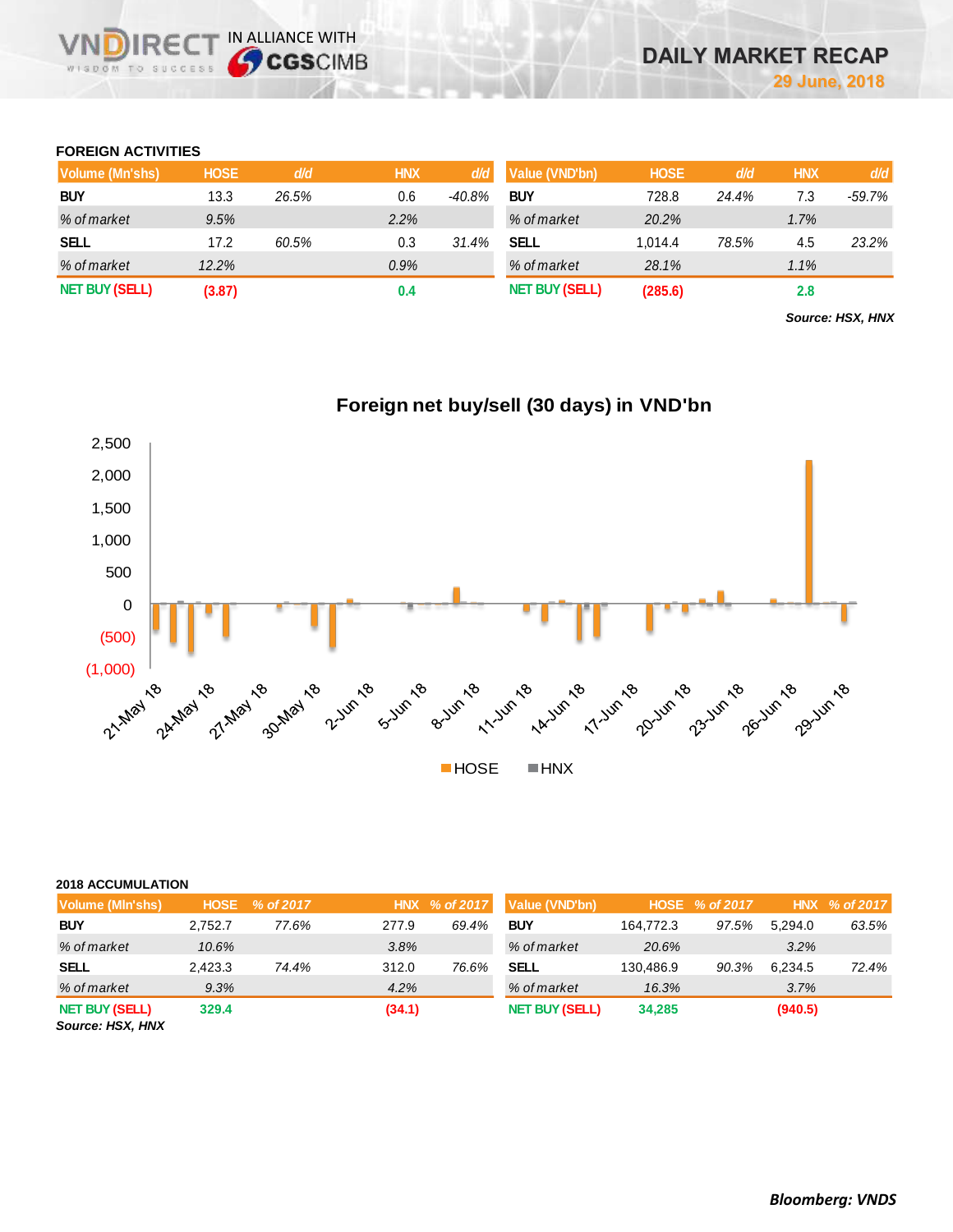# **FOREIGN ACTIVITIES**

IR<sub>E</sub> WISDOM TO SUCCESS

IN ALLIANCE WITH

| Volume (Mn'shs)       | <b>HOSE</b> | d/d   | <b>HNX</b> | d/d      | Value (VND'bn)        | <b>HOSE</b> | d/d   | <b>HNX</b> | d/d    |
|-----------------------|-------------|-------|------------|----------|-----------------------|-------------|-------|------------|--------|
| <b>BUY</b>            | 13.3        | 26.5% | 0.6        | $-40.8%$ | <b>BUY</b>            | 728.8       | 24.4% | 7.3        | -59.7% |
| % of market           | 9.5%        |       | 2.2%       |          | % of market           | 20.2%       |       | $1.7\%$    |        |
| <b>SELL</b>           | 17.2        | 60.5% | 0.3        | 31.4%    | <b>SELL</b>           | 1.014.4     | 78.5% | 4.5        | 23.2%  |
| % of market           | 12.2%       |       | 0.9%       |          | % of market           | 28.1%       |       | 1.1%       |        |
| <b>NET BUY (SELL)</b> | (3.87)      |       | 0.4        |          | <b>NET BUY (SELL)</b> | (285.6)     |       | 2.8        |        |

*Source: HSX, HNX*



# **Foreign net buy/sell (30 days) in VND'bn**

#### **2018 ACCUMULATION**

| Volume (MIn'shs)                          | <b>HOSE</b> | % of 2017 |        | HNX % of 2017 | Value (VND'bn)        |           | HOSE % of 2017 |         | HNX % of 2017 |
|-------------------------------------------|-------------|-----------|--------|---------------|-----------------------|-----------|----------------|---------|---------------|
| <b>BUY</b>                                | 2.752.7     | 77.6%     | 277.9  | 69.4%         | <b>BUY</b>            | 164.772.3 | 97.5%          | 5.294.0 | 63.5%         |
| % of market                               | 10.6%       |           | 3.8%   |               | % of market           | 20.6%     |                | 3.2%    |               |
| <b>SELL</b>                               | 2.423.3     | 74.4%     | 312.0  | 76.6%         | <b>SELL</b>           | 130.486.9 | 90.3%          | 6.234.5 | 72.4%         |
| % of market                               | 9.3%        |           | 4.2%   |               | % of market           | 16.3%     |                | 3.7%    |               |
| <b>NET BUY (SELL)</b><br>Source: HSX, HNX | 329.4       |           | (34.1) |               | <b>NET BUY (SELL)</b> | 34,285    |                | (940.5) |               |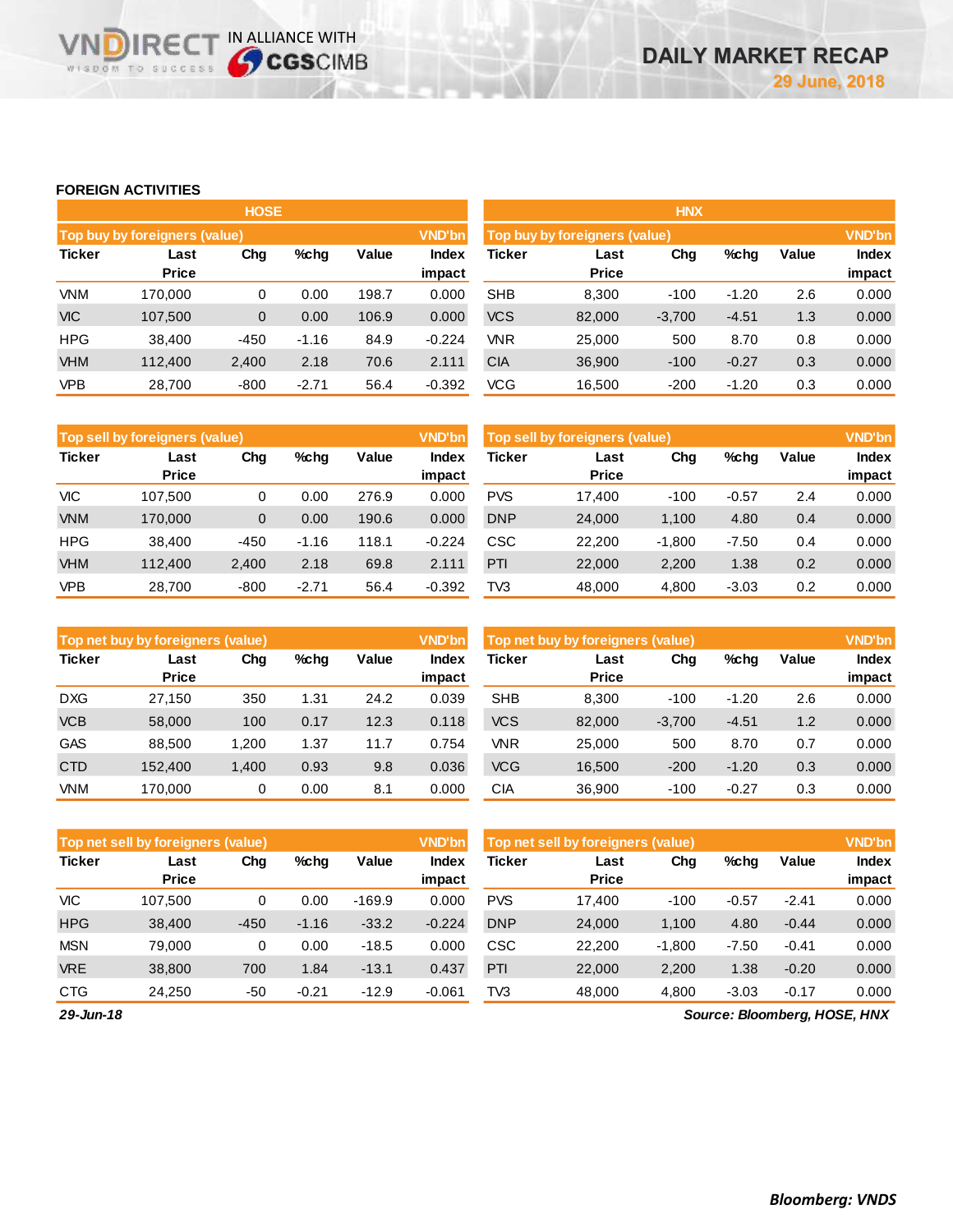# **FOREIGN ACTIVITIES**

**VNDIRECT IN ALLIANCE WITH** 

|                                                      |                               | <b>HOSE</b> |         |       |                 | <b>HNX</b>                    |                      |          |         |       |                 |
|------------------------------------------------------|-------------------------------|-------------|---------|-------|-----------------|-------------------------------|----------------------|----------|---------|-------|-----------------|
|                                                      | Top buy by foreigners (value) |             |         |       | <b>VND'bn</b>   | Top buy by foreigners (value) |                      |          |         |       |                 |
| <b>Ticker</b><br>Chg<br>%chg<br>Last<br><b>Price</b> |                               |             |         | Value | Index<br>impact | <b>Ticker</b>                 | Last<br><b>Price</b> | Chg      | %chg    | Value | Index<br>impact |
| <b>VNM</b>                                           | 170,000                       | 0           | 0.00    | 198.7 | 0.000           | <b>SHB</b>                    | 8,300                | $-100$   | $-1.20$ | 2.6   | 0.000           |
| <b>VIC</b>                                           | 107,500                       | $\mathbf 0$ | 0.00    | 106.9 | 0.000           | <b>VCS</b>                    | 82,000               | $-3,700$ | $-4.51$ | 1.3   | 0.000           |
| <b>HPG</b>                                           | 38.400                        | $-450$      | $-1.16$ | 84.9  | $-0.224$        | <b>VNR</b>                    | 25,000               | 500      | 8.70    | 0.8   | 0.000           |
| <b>VHM</b>                                           | 112,400                       | 2,400       | 2.18    | 70.6  | 2.111           | <b>CIA</b>                    | 36,900               | $-100$   | $-0.27$ | 0.3   | 0.000           |
| <b>VPB</b>                                           | 28,700                        | $-800$      | $-2.71$ | 56.4  | $-0.392$        | <b>VCG</b>                    | 16,500               | $-200$   | $-1.20$ | 0.3   | 0.000           |

|               | <b>VND'bn</b><br>Top sell by foreigners (value) |        |         |       |                 |            | Top sell by foreigners (value) |          |         |       |                        |
|---------------|-------------------------------------------------|--------|---------|-------|-----------------|------------|--------------------------------|----------|---------|-------|------------------------|
| <b>Ticker</b> | Last<br><b>Price</b>                            | Chg    | %chg    | Value | Index<br>impact | Ticker     | Last<br><b>Price</b>           | Chg      | %chg    | Value | <b>Index</b><br>impact |
| <b>VIC</b>    | 107.500                                         | 0      | 0.00    | 276.9 | 0.000           | <b>PVS</b> | 17.400                         | $-100$   | $-0.57$ | 2.4   | 0.000                  |
| <b>VNM</b>    | 170.000                                         | 0      | 0.00    | 190.6 | 0.000           | <b>DNP</b> | 24,000                         | 1.100    | 4.80    | 0.4   | 0.000                  |
| <b>HPG</b>    | 38.400                                          | $-450$ | $-1.16$ | 118.1 | $-0.224$        | CSC        | 22.200                         | $-1,800$ | $-7.50$ | 0.4   | 0.000                  |
| <b>VHM</b>    | 112.400                                         | 2,400  | 2.18    | 69.8  | 2.111           | PTI        | 22,000                         | 2,200    | 1.38    | 0.2   | 0.000                  |
| <b>VPB</b>    | 28,700                                          | $-800$ | $-2.71$ | 56.4  | $-0.392$        | TV3        | 48,000                         | 4,800    | $-3.03$ | 0.2   | 0.000                  |

|               | <b>VND'bn</b><br>Top net buy by foreigners (value) |       |      |       |                 |            | <b>VND'bn</b><br>Top net buy by foreigners (value) |          |         |       |                        |
|---------------|----------------------------------------------------|-------|------|-------|-----------------|------------|----------------------------------------------------|----------|---------|-------|------------------------|
| <b>Ticker</b> | Last<br><b>Price</b>                               | Chg   | %chg | Value | Index<br>impact | Ticker     | Last<br><b>Price</b>                               | Chg      | %chg    | Value | <b>Index</b><br>impact |
| <b>DXG</b>    | 27.150                                             | 350   | 1.31 | 24.2  | 0.039           | <b>SHB</b> | 8.300                                              | $-100$   | $-1.20$ | 2.6   | 0.000                  |
| <b>VCB</b>    | 58,000                                             | 100   | 0.17 | 12.3  | 0.118           | <b>VCS</b> | 82,000                                             | $-3,700$ | $-4.51$ | 1.2   | 0.000                  |
| <b>GAS</b>    | 88.500                                             | 1.200 | 1.37 | 11.7  | 0.754           | <b>VNR</b> | 25,000                                             | 500      | 8.70    | 0.7   | 0.000                  |
| <b>CTD</b>    | 152,400                                            | 1,400 | 0.93 | 9.8   | 0.036           | <b>VCG</b> | 16,500                                             | $-200$   | $-1.20$ | 0.3   | 0.000                  |
| <b>VNM</b>    | 170.000                                            | 0     | 0.00 | 8.1   | 0.000           | СIА        | 36,900                                             | $-100$   | $-0.27$ | 0.3   | 0.000                  |

|               | <b>VND'bn</b><br>Top net sell by foreigners (value) |        |         |          |                 |            | Top net sell by foreigners (value) |          |         |         |                 |  |
|---------------|-----------------------------------------------------|--------|---------|----------|-----------------|------------|------------------------------------|----------|---------|---------|-----------------|--|
| <b>Ticker</b> | Last<br><b>Price</b>                                | Chg    | %chg    | Value    | Index<br>impact | Ticker     | Last<br><b>Price</b>               | Chg      | %chg    | Value   | Index<br>impact |  |
| <b>VIC</b>    | 107.500                                             | 0      | 0.00    | $-169.9$ | 0.000           | <b>PVS</b> | 17.400                             | $-100$   | $-0.57$ | $-2.41$ | 0.000           |  |
| <b>HPG</b>    | 38.400                                              | $-450$ | $-1.16$ | $-33.2$  | $-0.224$        | <b>DNP</b> | 24,000                             | 1.100    | 4.80    | $-0.44$ | 0.000           |  |
| <b>MSN</b>    | 79.000                                              | 0      | 0.00    | $-18.5$  | 0.000           | CSC        | 22,200                             | $-1,800$ | $-7.50$ | $-0.41$ | 0.000           |  |
| <b>VRE</b>    | 38,800                                              | 700    | 1.84    | $-13.1$  | 0.437           | PTI        | 22,000                             | 2.200    | 1.38    | $-0.20$ | 0.000           |  |
| <b>CTG</b>    | 24.250                                              | -50    | $-0.21$ | $-12.9$  | $-0.061$        | TV3        | 48,000                             | 4.800    | $-3.03$ | $-0.17$ | 0.000           |  |

*29-Jun-18*

*Source: Bloomberg, HOSE, HNX*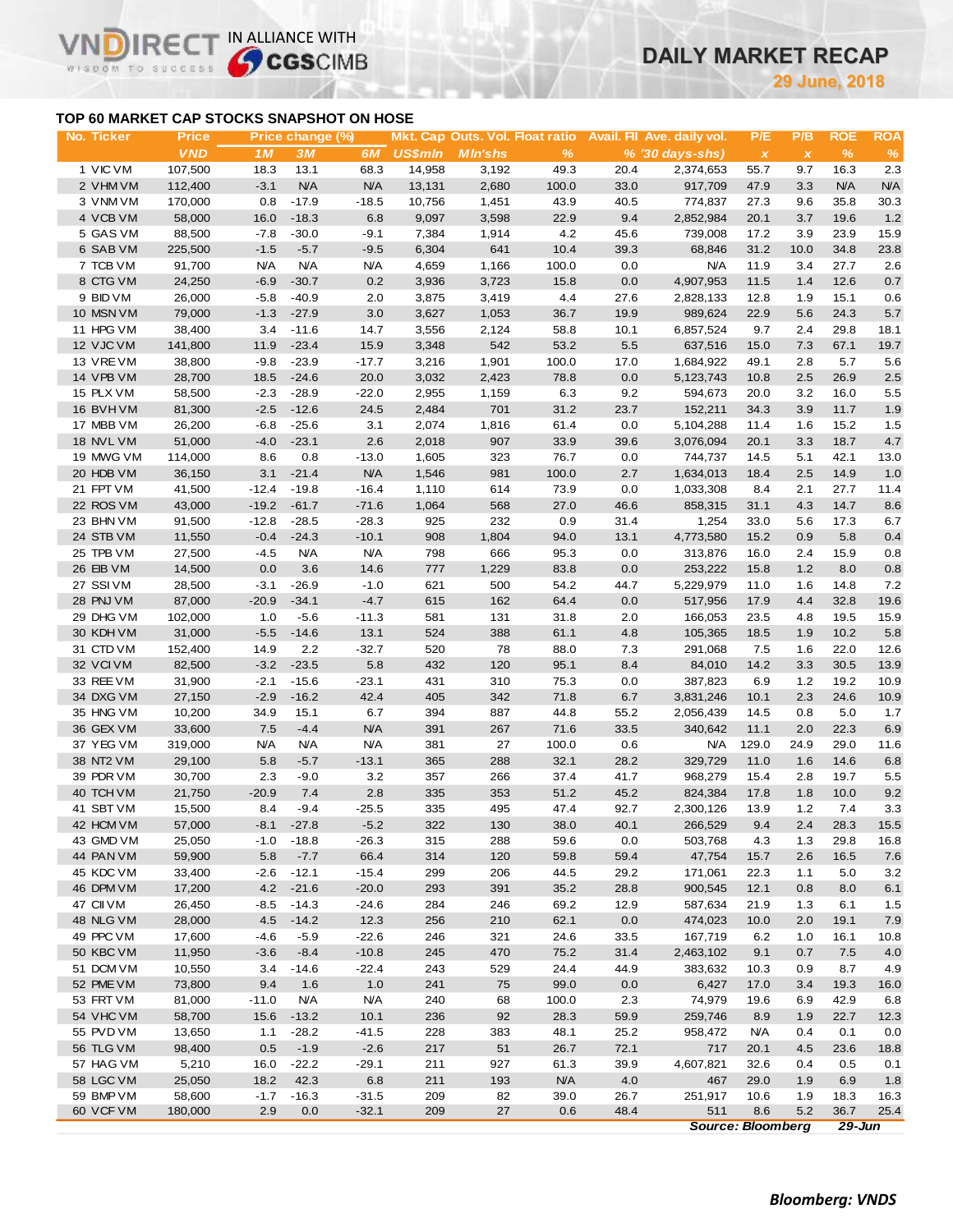# **DAILY MARKET RECAP**

**June, 2018**

# **TOP 60 MARKET CAP STOCKS SNAPSHOT ON HOSE**

 $R \in C$ 

WISDOM TO SUCCESS

 $\vee$ 

IN ALLIANCE WITH

| No. Ticker             | <b>Price</b>     |                    | Price change (%)   |                    |                |                |               |              | Mkt. Cap Outs. Vol. Float ratio Avail. Fil Ave. daily vol. | P/E                       | P/B          | <b>ROE</b>   | <b>ROA</b> |
|------------------------|------------------|--------------------|--------------------|--------------------|----------------|----------------|---------------|--------------|------------------------------------------------------------|---------------------------|--------------|--------------|------------|
|                        | <b>VND</b>       | 1M                 | 3M                 | 6 <i>M</i>         | <b>US\$min</b> | <b>MIn'shs</b> | $\frac{9}{6}$ |              | $% (30 \, \text{days-shs})$                                | $\boldsymbol{\mathsf{x}}$ | $\pmb{\chi}$ | $\%$         | $\%$       |
| 1 VIC VM               | 107,500          | 18.3               | 13.1               | 68.3               | 14,958         | 3,192          | 49.3          | 20.4         | 2,374,653                                                  | 55.7                      | 9.7          | 16.3         | 2.3        |
| 2 VHM VM               | 112,400          | $-3.1$             | N/A                | <b>N/A</b>         | 13,131         | 2,680          | 100.0         | 33.0         | 917,709                                                    | 47.9                      | 3.3          | N/A          | N/A        |
| 3 VNM VM               | 170,000          | 0.8                | $-17.9$            | $-18.5$            | 10,756         | 1,451          | 43.9          | 40.5         | 774,837                                                    | 27.3                      | 9.6          | 35.8         | 30.3       |
| 4 VCB VM               | 58,000           | 16.0               | $-18.3$            | 6.8                | 9,097          | 3,598          | 22.9          | 9.4          | 2,852,984                                                  | 20.1                      | 3.7          | 19.6         | $1.2$      |
| 5 GAS VM               | 88,500           | $-7.8$             | $-30.0$            | $-9.1$             | 7,384          | 1,914          | 4.2           | 45.6         | 739,008                                                    | 17.2                      | 3.9          | 23.9         | 15.9       |
| 6 SAB VM               | 225,500          | $-1.5$             | $-5.7$             | $-9.5$             | 6,304          | 641            | 10.4          | 39.3         | 68,846                                                     | 31.2                      | 10.0         | 34.8         | 23.8       |
| 7 TCB VM               | 91,700           | <b>N/A</b>         | <b>N/A</b>         | <b>N/A</b>         | 4,659          | 1,166          | 100.0         | 0.0          | <b>N/A</b>                                                 | 11.9                      | 3.4          | 27.7         | 2.6        |
| 8 CTG VM               | 24,250           | $-6.9$             | $-30.7$            | 0.2                | 3,936          | 3,723          | 15.8          | 0.0          | 4,907,953                                                  | 11.5                      | $1.4$        | 12.6         | 0.7        |
| 9 BID VM               | 26,000           | $-5.8$             | $-40.9$            | 2.0                | 3,875          | 3,419          | 4.4           | 27.6         | 2,828,133                                                  | 12.8                      | 1.9          | 15.1         | 0.6        |
| 10 MSN VM              | 79,000           | $-1.3$             | $-27.9$            | 3.0                | 3,627          | 1,053          | 36.7          | 19.9         | 989,624                                                    | 22.9                      | 5.6          | 24.3         | $5.7\,$    |
| 11 HPG VM              | 38,400           | 3.4                | $-11.6$            | 14.7               | 3,556          | 2,124          | 58.8          | 10.1         | 6,857,524                                                  | 9.7                       | 2.4          | 29.8         | 18.1       |
| 12 VJC VM              | 141,800          | 11.9               | $-23.4$            | 15.9               | 3,348          | 542            | 53.2          | 5.5          | 637,516                                                    | 15.0                      | 7.3          | 67.1         | 19.7       |
| 13 VREVM               | 38,800           | $-9.8$             | $-23.9$            | $-17.7$            | 3,216          | 1,901          | 100.0         | 17.0         | 1,684,922                                                  | 49.1                      | 2.8          | 5.7          | 5.6        |
| 14 VPB VM              | 28,700           | 18.5               | $-24.6$            | 20.0               | 3,032          | 2,423          | 78.8          | 0.0          | 5,123,743                                                  | 10.8                      | 2.5          | 26.9         | $2.5\,$    |
| 15 PLX VM              | 58,500           | $-2.3$             | $-28.9$            | $-22.0$            | 2,955          | 1,159          | 6.3           | 9.2          | 594,673                                                    | 20.0                      | 3.2          | 16.0         | 5.5        |
| 16 BVHVM               | 81,300           | $-2.5$             | $-12.6$            | 24.5               | 2,484          | 701            | 31.2          | 23.7         | 152,211                                                    | 34.3                      | 3.9          | 11.7         | 1.9        |
| 17 MBB VM              | 26,200           | $-6.8$             | $-25.6$            | 3.1                | 2,074          | 1,816          | 61.4          | 0.0          | 5,104,288                                                  | 11.4                      | 1.6          | 15.2         | 1.5        |
| 18 NVL VM              | 51,000           | $-4.0$             | $-23.1$            | 2.6                | 2,018          | 907            | 33.9          | 39.6         | 3,076,094                                                  | 20.1                      | 3.3          | 18.7         | $4.7\,$    |
| 19 MWG VM              | 114,000          | 8.6                | 0.8                | $-13.0$            | 1,605          | 323            | 76.7          | 0.0          | 744,737                                                    | 14.5                      | 5.1          | 42.1         | 13.0       |
| 20 HDB VM              | 36,150           | 3.1                | $-21.4$            | <b>N/A</b>         | 1,546          | 981            | 100.0         | 2.7          | 1,634,013                                                  | 18.4                      | 2.5          | 14.9         | 1.0        |
| 21 FPT VM<br>22 ROS VM | 41,500           | $-12.4$            | $-19.8$            | $-16.4$            | 1,110          | 614<br>568     | 73.9          | 0.0          | 1,033,308                                                  | 8.4                       | 2.1          | 27.7         | 11.4       |
| 23 BHN VM              | 43,000<br>91,500 | $-19.2$<br>$-12.8$ | $-61.7$<br>$-28.5$ | $-71.6$<br>$-28.3$ | 1,064<br>925   | 232            | 27.0<br>0.9   | 46.6<br>31.4 | 858,315<br>1,254                                           | 31.1<br>33.0              | 4.3<br>5.6   | 14.7<br>17.3 | 8.6<br>6.7 |
| 24 STB VM              | 11,550           | $-0.4$             | $-24.3$            | $-10.1$            | 908            | 1,804          | 94.0          | 13.1         | 4,773,580                                                  | 15.2                      | 0.9          | 5.8          | $0.4\,$    |
| 25 TPB VM              | 27,500           | $-4.5$             | <b>N/A</b>         | <b>N/A</b>         | 798            | 666            | 95.3          | 0.0          | 313,876                                                    | 16.0                      | 2.4          | 15.9         | 0.8        |
| 26 EIB VM              | 14,500           | 0.0                | 3.6                | 14.6               | 777            | 1,229          | 83.8          | 0.0          | 253,222                                                    | 15.8                      | 1.2          | 8.0          | 0.8        |
| 27 SSIVM               | 28,500           | $-3.1$             | $-26.9$            | $-1.0$             | 621            | 500            | 54.2          | 44.7         | 5,229,979                                                  | 11.0                      | 1.6          | 14.8         | $7.2\,$    |
| 28 PNJ VM              | 87,000           | $-20.9$            | $-34.1$            | $-4.7$             | 615            | 162            | 64.4          | 0.0          | 517,956                                                    | 17.9                      | 4.4          | 32.8         | 19.6       |
| 29 DHG VM              | 102,000          | 1.0                | $-5.6$             | $-11.3$            | 581            | 131            | 31.8          | 2.0          | 166,053                                                    | 23.5                      | 4.8          | 19.5         | 15.9       |
| 30 KDH VM              | 31,000           | $-5.5$             | $-14.6$            | 13.1               | 524            | 388            | 61.1          | 4.8          | 105,365                                                    | 18.5                      | 1.9          | 10.2         | 5.8        |
| 31 CTD VM              | 152,400          | 14.9               | 2.2                | $-32.7$            | 520            | 78             | 88.0          | 7.3          | 291,068                                                    | 7.5                       | 1.6          | 22.0         | 12.6       |
| 32 VCIVM               | 82,500           | $-3.2$             | $-23.5$            | 5.8                | 432            | 120            | 95.1          | 8.4          | 84,010                                                     | 14.2                      | 3.3          | 30.5         | 13.9       |
| 33 REE VM              | 31,900           | $-2.1$             | $-15.6$            | $-23.1$            | 431            | 310            | 75.3          | 0.0          | 387,823                                                    | 6.9                       | 1.2          | 19.2         | 10.9       |
| 34 DXG VM              | 27,150           | $-2.9$             | $-16.2$            | 42.4               | 405            | 342            | 71.8          | 6.7          | 3,831,246                                                  | 10.1                      | 2.3          | 24.6         | 10.9       |
| 35 HNG VM              | 10,200           | 34.9               | 15.1               | 6.7                | 394            | 887            | 44.8          | 55.2         | 2,056,439                                                  | 14.5                      | 0.8          | 5.0          | 1.7        |
| 36 GEX VM              | 33,600           | 7.5                | $-4.4$             | <b>N/A</b>         | 391            | 267            | 71.6          | 33.5         | 340,642                                                    | 11.1                      | 2.0          | 22.3         | $6.9\,$    |
| 37 YEG VM              | 319,000          | N/A                | <b>N/A</b>         | <b>N/A</b>         | 381            | 27             | 100.0         | 0.6          | <b>N/A</b>                                                 | 129.0                     | 24.9         | 29.0         | 11.6       |
| 38 NT2 VM              | 29,100           | 5.8                | $-5.7$             | $-13.1$            | 365            | 288            | 32.1          | 28.2         | 329,729                                                    | 11.0                      | 1.6          | 14.6         | 6.8        |
| 39 PDR VM              | 30,700           | 2.3                | $-9.0$             | 3.2                | 357            | 266            | 37.4          | 41.7         | 968,279                                                    | 15.4                      | 2.8          | 19.7         | 5.5        |
| 40 TCH VM              | 21,750           | $-20.9$            | 7.4                | $2.8\,$            | 335            | 353            | 51.2          | 45.2         | 824,384                                                    | 17.8                      | 1.8          | 10.0         | 9.2        |
| 41 SBT VM              | 15,500           | 8.4                | $-9.4$             | $-25.5$            | 335            | 495            | 47.4          | 92.7         | 2,300,126                                                  | 13.9                      | 1.2          | 7.4          | 3.3        |
| 42 HCM VM              | 57,000           |                    | $-8.1 -27.8$       | $-5.2$             | 322            | 130            | 38.0          | 40.1         | 266,529                                                    | 9.4                       | 2.4          | 28.3         | 15.5       |
| 43 GMD VM              | 25,050           |                    | $-1.0 -18.8$       | $-26.3$            | 315            | 288            | 59.6          | 0.0          | 503,768                                                    | 4.3                       | 1.3          | 29.8         | 16.8       |
| 44 PAN VM              | 59,900           | 5.8                | $-7.7$             | 66.4               | 314            | 120            | 59.8          | 59.4         | 47,754                                                     | 15.7                      | 2.6          | 16.5         | 7.6        |
| 45 KDC VM              | 33,400           | $-2.6$             | $-12.1$            | $-15.4$            | 299            | 206            | 44.5          | 29.2         | 171,061                                                    | 22.3                      | 1.1          | 5.0          | 3.2        |
| 46 DPM VM              | 17,200           | 4.2                | $-21.6$            | $-20.0$            | 293            | 391            | 35.2          | 28.8         | 900,545                                                    | 12.1                      | 0.8          | 8.0          | 6.1        |
| 47 CII VM              | 26,450           | $-8.5$             | $-14.3$            | $-24.6$            | 284            | 246            | 69.2          | 12.9         | 587,634                                                    | 21.9                      | 1.3          | 6.1          | 1.5        |
| 48 NLG VM              | 28,000           | 4.5                | $-14.2$            | 12.3               | 256            | 210            | 62.1          | 0.0          | 474,023                                                    | 10.0                      | 2.0          | 19.1         | 7.9        |
| 49 PPC VM              | 17,600           | $-4.6$             | $-5.9$             | $-22.6$            | 246            | 321            | 24.6          | 33.5         | 167,719                                                    | 6.2                       | 1.0          | 16.1         | 10.8       |
| 50 KBC VM              | 11,950           | $-3.6$             | $-8.4$             | $-10.8$            | 245            | 470            | 75.2          | 31.4         | 2,463,102                                                  | 9.1                       | 0.7          | 7.5          | 4.0        |
| 51 DCM VM              | 10,550           | 3.4                | $-14.6$            | $-22.4$            | 243            | 529            | 24.4          | 44.9         | 383,632                                                    | 10.3                      | 0.9          | 8.7          | 4.9        |
| 52 PME VM              | 73,800           | 9.4                | 1.6                | 1.0                | 241            | 75             | 99.0          | 0.0          | 6,427                                                      | 17.0                      | 3.4          | 19.3         | 16.0       |
| 53 FRT VM              | 81,000           | $-11.0$            | <b>N/A</b>         | <b>N/A</b>         | 240            | 68             | 100.0         | 2.3          | 74,979                                                     | 19.6                      | 6.9          | 42.9         | 6.8        |
| 54 VHC VM              | 58,700           | 15.6               | $-13.2$            | 10.1               | 236            | 92             | 28.3          | 59.9         | 259,746                                                    | 8.9                       | 1.9          | 22.7         | 12.3       |
| 55 PVD VM<br>56 TLG VM | 13,650           | 1.1<br>0.5         | $-28.2$<br>$-1.9$  | $-41.5$<br>$-2.6$  | 228<br>217     | 383<br>51      | 48.1          | 25.2<br>72.1 | 958,472<br>717                                             | <b>N/A</b>                | 0.4          | 0.1          | 0.0        |
| 57 HAG VM              | 98,400<br>5,210  | 16.0               | $-22.2$            | $-29.1$            | 211            | 927            | 26.7<br>61.3  | 39.9         | 4,607,821                                                  | 20.1<br>32.6              | 4.5<br>0.4   | 23.6<br>0.5  | 18.8       |
| 58 LGC VM              | 25,050           | 18.2               | 42.3               | 6.8                | 211            | 193            | <b>N/A</b>    | 4.0          | 467                                                        | 29.0                      | 1.9          | 6.9          | 0.1<br>1.8 |
| 59 BMP VM              | 58,600           | $-1.7$             | $-16.3$            | $-31.5$            | 209            | 82             | 39.0          | 26.7         | 251,917                                                    | 10.6                      | 1.9          | 18.3         | 16.3       |
| 60 VCF VM              | 180,000          | 2.9                | 0.0                | $-32.1$            | 209            | 27             | 0.6           | 48.4         | 511                                                        | 8.6                       | 5.2          | 36.7         | 25.4       |
|                        |                  |                    |                    |                    |                |                |               |              | <b>Source: Bloomberg</b>                                   |                           |              | $29 - Jun$   |            |